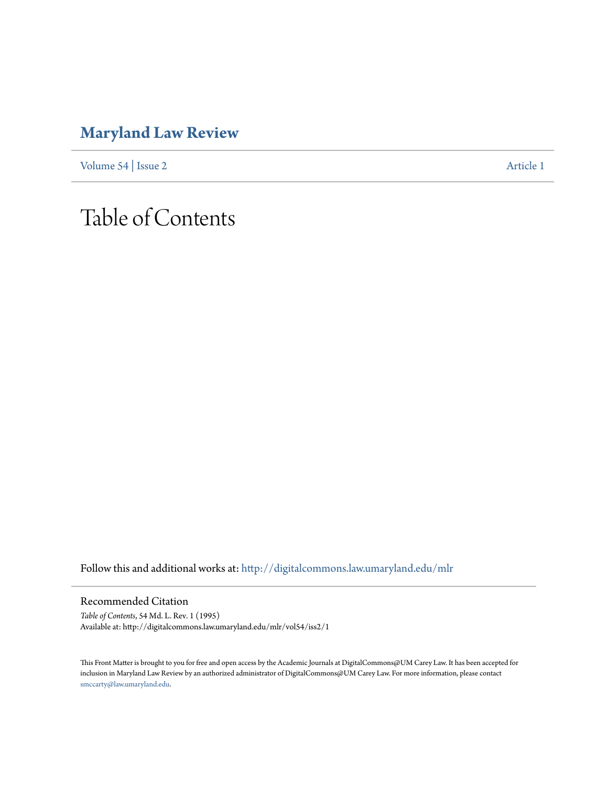### **[Maryland Law Review](http://digitalcommons.law.umaryland.edu/mlr?utm_source=digitalcommons.law.umaryland.edu%2Fmlr%2Fvol54%2Fiss2%2F1&utm_medium=PDF&utm_campaign=PDFCoverPages)**

[Volume 54](http://digitalcommons.law.umaryland.edu/mlr/vol54?utm_source=digitalcommons.law.umaryland.edu%2Fmlr%2Fvol54%2Fiss2%2F1&utm_medium=PDF&utm_campaign=PDFCoverPages) | [Issue 2](http://digitalcommons.law.umaryland.edu/mlr/vol54/iss2?utm_source=digitalcommons.law.umaryland.edu%2Fmlr%2Fvol54%2Fiss2%2F1&utm_medium=PDF&utm_campaign=PDFCoverPages) [Article 1](http://digitalcommons.law.umaryland.edu/mlr/vol54/iss2/1?utm_source=digitalcommons.law.umaryland.edu%2Fmlr%2Fvol54%2Fiss2%2F1&utm_medium=PDF&utm_campaign=PDFCoverPages)

# Table of Contents

Follow this and additional works at: [http://digitalcommons.law.umaryland.edu/mlr](http://digitalcommons.law.umaryland.edu/mlr?utm_source=digitalcommons.law.umaryland.edu%2Fmlr%2Fvol54%2Fiss2%2F1&utm_medium=PDF&utm_campaign=PDFCoverPages)

Recommended Citation

*Table of Contents*, 54 Md. L. Rev. 1 (1995) Available at: http://digitalcommons.law.umaryland.edu/mlr/vol54/iss2/1

This Front Matter is brought to you for free and open access by the Academic Journals at DigitalCommons@UM Carey Law. It has been accepted for inclusion in Maryland Law Review by an authorized administrator of DigitalCommons@UM Carey Law. For more information, please contact [smccarty@law.umaryland.edu.](mailto:smccarty@law.umaryland.edu)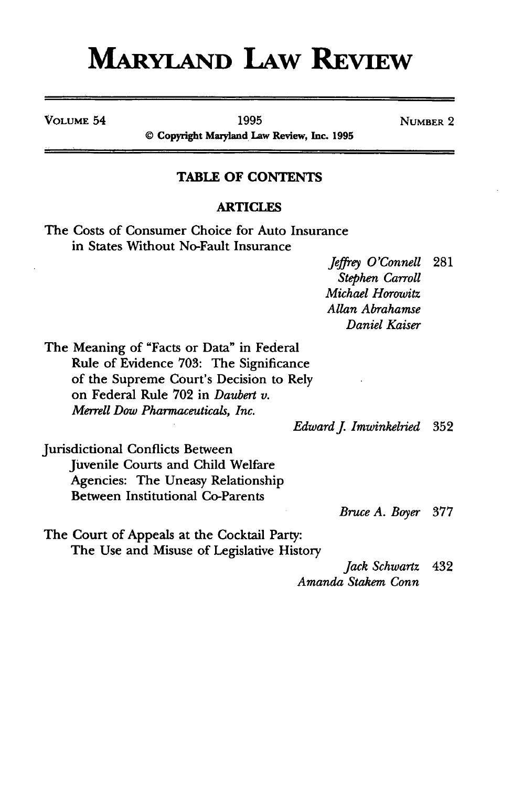## **MARYLAND LAW REVIEW**

**VOLUME 54** 1995 1995 NUMBER 2

**© Copyright Maryland Law Review, Inc. 1995**

#### **TABLE OF CONTENTS**

#### **ARTICLES**

The Costs of Consumer Choice for Auto Insurance in States Without No-Fault Insurance

> *Jeffrey O'Connell* 281 *Stephen Carroll Michael Horowitz Allan Abrahamse Daniel Kaiser*

The Meaning of "Facts or Data" in Federal Rule of Evidence 703: The Significance of the Supreme Court's Decision to Rely on Federal Rule 702 in *Daubert v. Merrell Dow Pharmaceuticals, Inc.*

*Edwardj Imwinkelried* 352

Jurisdictional Conflicts Between Juvenile Courts and Child Welfare Agencies: The Uneasy Relationship Between Institutional Co-Parents

*Bruce A. Boyer* 377

The Court of Appeals at the Cocktail Party: The Use and Misuse of Legislative History

> *Jack Schwartz* 432 *Amanda Stakem Conn*